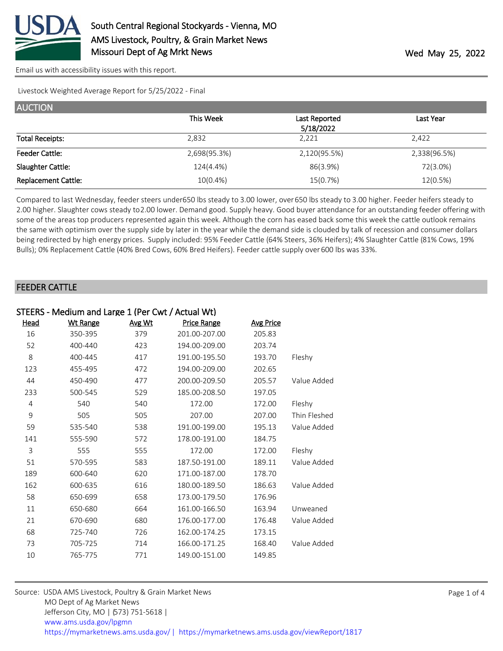

Livestock Weighted Average Report for 5/25/2022 - Final

| <b>AUCTION</b>             |              |               |              |
|----------------------------|--------------|---------------|--------------|
|                            | This Week    | Last Reported | Last Year    |
|                            |              | 5/18/2022     |              |
| <b>Total Receipts:</b>     | 2,832        | 2,221         | 2,422        |
| <b>Feeder Cattle:</b>      | 2,698(95.3%) | 2,120(95.5%)  | 2,338(96.5%) |
| Slaughter Cattle:          | 124(4.4%)    | 86(3.9%)      | 72(3.0%)     |
| <b>Replacement Cattle:</b> | $10(0.4\%)$  | 15(0.7%)      | 12(0.5%)     |

Compared to last Wednesday, feeder steers under 650 lbs steady to 3.00 lower, over 650 lbs steady to 3.00 higher. Feeder heifers steady to 2.00 higher. Slaughter cows steady to 2.00 lower. Demand good. Supply heavy. Good buyer attendance for an outstanding feeder offering with some of the areas top producers represented again this week. Although the corn has eased back some this week the cattle outlook remains the same with optimism over the supply side by later in the year while the demand side is clouded by talk of recession and consumer dollars being redirected by high energy prices. Supply included: 95% Feeder Cattle (64% Steers, 36% Heifers); 4% Slaughter Cattle (81% Cows, 19% Bulls); 0% Replacement Cattle (40% Bred Cows, 60% Bred Heifers). Feeder cattle supply over 600 lbs was 33%.

## FEEDER CATTLE

|             | STEERS - Medium and Large 1 (Per Cwt / Actual Wt) |        |                    |                  |              |  |  |
|-------------|---------------------------------------------------|--------|--------------------|------------------|--------------|--|--|
| <u>Head</u> | <b>Wt Range</b>                                   | Avg Wt | <b>Price Range</b> | <b>Avg Price</b> |              |  |  |
| 16          | 350-395                                           | 379    | 201.00-207.00      | 205.83           |              |  |  |
| 52          | 400-440                                           | 423    | 194.00-209.00      | 203.74           |              |  |  |
| 8           | 400-445                                           | 417    | 191.00-195.50      | 193.70           | Fleshy       |  |  |
| 123         | 455-495                                           | 472    | 194.00-209.00      | 202.65           |              |  |  |
| 44          | 450-490                                           | 477    | 200.00-209.50      | 205.57           | Value Added  |  |  |
| 233         | 500-545                                           | 529    | 185.00-208.50      | 197.05           |              |  |  |
| 4           | 540                                               | 540    | 172.00             | 172.00           | Fleshy       |  |  |
| 9           | 505                                               | 505    | 207.00             | 207.00           | Thin Fleshed |  |  |
| 59          | 535-540                                           | 538    | 191.00-199.00      | 195.13           | Value Added  |  |  |
| 141         | 555-590                                           | 572    | 178.00-191.00      | 184.75           |              |  |  |
| 3           | 555                                               | 555    | 172.00             | 172.00           | Fleshy       |  |  |
| 51          | 570-595                                           | 583    | 187.50-191.00      | 189.11           | Value Added  |  |  |
| 189         | 600-640                                           | 620    | 171.00-187.00      | 178.70           |              |  |  |
| 162         | 600-635                                           | 616    | 180.00-189.50      | 186.63           | Value Added  |  |  |
| 58          | 650-699                                           | 658    | 173.00-179.50      | 176.96           |              |  |  |
| 11          | 650-680                                           | 664    | 161.00-166.50      | 163.94           | Unweaned     |  |  |
| 21          | 670-690                                           | 680    | 176.00-177.00      | 176.48           | Value Added  |  |  |
| 68          | 725-740                                           | 726    | 162.00-174.25      | 173.15           |              |  |  |
| 73          | 705-725                                           | 714    | 166.00-171.25      | 168.40           | Value Added  |  |  |
| 10          | 765-775                                           | 771    | 149.00-151.00      | 149.85           |              |  |  |
|             |                                                   |        |                    |                  |              |  |  |

| Source: USDA AMS Livestock, Poultry & Grain Market News                                |
|----------------------------------------------------------------------------------------|
| MO Dept of Ag Market News                                                              |
| Jefferson City, MO   (573) 751-5618                                                    |
| www.ams.usda.gov/lpgmn                                                                 |
| https://mymarketnews.ams.usda.gov/   https://mymarketnews.ams.usda.gov/viewReport/1817 |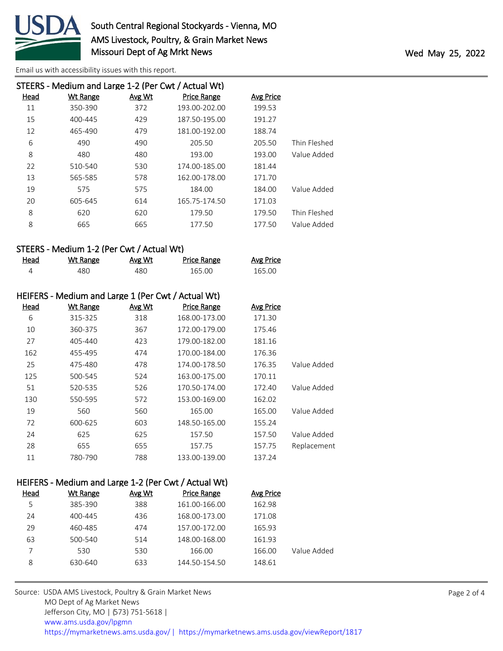

|      | STEERS - Medium and Large 1-2 (Per Cwt / Actual Wt) |        |                    |           |              |
|------|-----------------------------------------------------|--------|--------------------|-----------|--------------|
| Head | <b>Wt Range</b>                                     | Avg Wt | <b>Price Range</b> | Avg Price |              |
| 11   | 350-390                                             | 372    | 193.00-202.00      | 199.53    |              |
| 15   | 400-445                                             | 429    | 187.50-195.00      | 191.27    |              |
| 12   | 465-490                                             | 479    | 181.00-192.00      | 188.74    |              |
| 6    | 490                                                 | 490    | 205.50             | 205.50    | Thin Fleshed |
| 8    | 480                                                 | 480    | 193.00             | 193.00    | Value Added  |
| 22   | 510-540                                             | 530    | 174.00-185.00      | 181.44    |              |
| 13   | 565-585                                             | 578    | 162.00-178.00      | 171.70    |              |
| 19   | 575                                                 | 575    | 184.00             | 184.00    | Value Added  |
| 20   | 605-645                                             | 614    | 165.75-174.50      | 171.03    |              |
| 8    | 620                                                 | 620    | 179.50             | 179.50    | Thin Fleshed |
| 8    | 665                                                 | 665    | 177.50             | 177.50    | Value Added  |
|      |                                                     |        |                    |           |              |

## STEERS - Medium 1-2 (Per Cwt / Actual Wt)

| Head | <u>Wt Range</u> | <u>Avg Wt</u> | Price Range | <b>Avg Price</b> |
|------|-----------------|---------------|-------------|------------------|
|      | 480             | 480           | 165.00      | 165.00           |

|      | HEIFERS - Medium and Large 1 (Per Cwt / Actual Wt) |               |                    |                  |             |
|------|----------------------------------------------------|---------------|--------------------|------------------|-------------|
| Head | <u>Wt Range</u>                                    | <u>Avg Wt</u> | <b>Price Range</b> | <b>Avg Price</b> |             |
| 6    | 315-325                                            | 318           | 168.00-173.00      | 171.30           |             |
| 10   | 360-375                                            | 367           | 172.00-179.00      | 175.46           |             |
| 27   | 405-440                                            | 423           | 179.00-182.00      | 181.16           |             |
| 162  | 455-495                                            | 474           | 170.00-184.00      | 176.36           |             |
| 25   | 475-480                                            | 478           | 174.00-178.50      | 176.35           | Value Added |
| 125  | 500-545                                            | 524           | 163.00-175.00      | 170.11           |             |
| 51   | 520-535                                            | 526           | 170.50-174.00      | 172.40           | Value Added |
| 130  | 550-595                                            | 572           | 153.00-169.00      | 162.02           |             |
| 19   | 560                                                | 560           | 165.00             | 165.00           | Value Added |
| 72   | 600-625                                            | 603           | 148.50-165.00      | 155.24           |             |
| 24   | 625                                                | 625           | 157.50             | 157.50           | Value Added |
| 28   | 655                                                | 655           | 157.75             | 157.75           | Replacement |
| 11   | 780-790                                            | 788           | 133.00-139.00      | 137.24           |             |

## HEIFERS - Medium and Large 1-2 (Per Cwt / Actual Wt)

| Head | Wt Range | Avg Wt | <b>Price Range</b> | Avg Price |             |
|------|----------|--------|--------------------|-----------|-------------|
| 5    | 385-390  | 388    | 161.00-166.00      | 162.98    |             |
| 24   | 400-445  | 436    | 168.00-173.00      | 171.08    |             |
| 29   | 460-485  | 474    | 157.00-172.00      | 165.93    |             |
| 63   | 500-540  | 514    | 148.00-168.00      | 161.93    |             |
|      | 530      | 530    | 166.00             | 166.00    | Value Added |
| 8    | 630-640  | 633    | 144.50-154.50      | 148.61    |             |
|      |          |        |                    |           |             |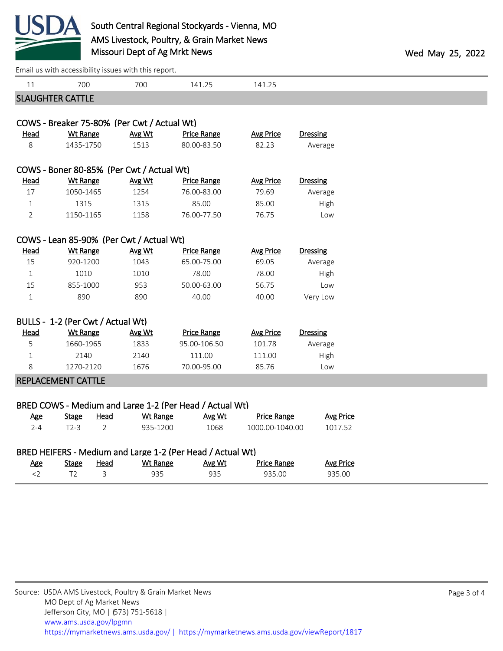

|                |                                   | Lindii də With decessibility issues With this report. |                                                            |                    |                  |  |
|----------------|-----------------------------------|-------------------------------------------------------|------------------------------------------------------------|--------------------|------------------|--|
| 11             | 700                               | 700                                                   | 141.25                                                     | 141.25             |                  |  |
|                | <b>SLAUGHTER CATTLE</b>           |                                                       |                                                            |                    |                  |  |
|                |                                   |                                                       |                                                            |                    |                  |  |
|                |                                   | COWS - Breaker 75-80% (Per Cwt / Actual Wt)           |                                                            |                    |                  |  |
| <u>Head</u>    | <b>Wt Range</b>                   | Avg Wt                                                | <b>Price Range</b>                                         | <b>Avg Price</b>   | <b>Dressing</b>  |  |
| 8              | 1435-1750                         | 1513                                                  | 80.00-83.50                                                | 82.23              | Average          |  |
|                |                                   |                                                       |                                                            |                    |                  |  |
|                |                                   | COWS - Boner 80-85% (Per Cwt / Actual Wt)             |                                                            |                    |                  |  |
| <b>Head</b>    | <b>Wt Range</b>                   | Avg Wt                                                | <b>Price Range</b>                                         | <b>Avg Price</b>   | <b>Dressing</b>  |  |
| 17             | 1050-1465                         | 1254                                                  | 76.00-83.00                                                | 79.69              | Average          |  |
| $\mathbf{1}$   | 1315                              | 1315                                                  | 85.00                                                      | 85.00              | High             |  |
| $\overline{2}$ | 1150-1165                         | 1158                                                  | 76.00-77.50                                                | 76.75              | Low              |  |
|                |                                   |                                                       |                                                            |                    |                  |  |
|                |                                   | COWS - Lean 85-90% (Per Cwt / Actual Wt)              |                                                            |                    |                  |  |
| <b>Head</b>    | <b>Wt Range</b>                   | Avg Wt                                                | <b>Price Range</b>                                         | <b>Avg Price</b>   | Dressing         |  |
| 15             | 920-1200                          | 1043                                                  | 65.00-75.00                                                | 69.05              | Average          |  |
| $\mathbf{1}$   | 1010                              | 1010                                                  | 78.00                                                      | 78.00              | High             |  |
| 15             | 855-1000                          | 953                                                   | 50.00-63.00                                                | 56.75              | Low              |  |
| $1\,$          | 890                               | 890                                                   | 40.00                                                      | 40.00              | Very Low         |  |
|                | BULLS - 1-2 (Per Cwt / Actual Wt) |                                                       |                                                            |                    |                  |  |
| Head           | <b>Wt Range</b>                   | Avg Wt                                                | <b>Price Range</b>                                         | <b>Avg Price</b>   | <b>Dressing</b>  |  |
| 5              | 1660-1965                         | 1833                                                  | 95.00-106.50                                               | 101.78             | Average          |  |
| $\mathbf{1}$   | 2140                              | 2140                                                  | 111.00                                                     | 111.00             | High             |  |
| 8              | 1270-2120                         | 1676                                                  | 70.00-95.00                                                | 85.76              | Low              |  |
|                | <b>REPLACEMENT CATTLE</b>         |                                                       |                                                            |                    |                  |  |
|                |                                   |                                                       |                                                            |                    |                  |  |
|                |                                   |                                                       | BRED COWS - Medium and Large 1-2 (Per Head / Actual Wt)    |                    |                  |  |
| <u>Age</u>     | <b>Stage</b>                      | <b>Head</b><br><b>Wt Range</b>                        | Avg Wt                                                     | <b>Price Range</b> | <b>Avg Price</b> |  |
| $2 - 4$        | $T2-3$                            | $\overline{2}$<br>935-1200                            | 1068                                                       | 1000.00-1040.00    | 1017.52          |  |
|                |                                   |                                                       | BRED HEIFERS - Medium and Large 1-2 (Per Head / Actual Wt) |                    |                  |  |
| <b>Age</b>     | <b>Stage</b>                      | <b>Head</b><br><b>Wt Range</b>                        | Avg Wt                                                     | <b>Price Range</b> | <b>Avg Price</b> |  |
| $<$ 2          | T <sub>2</sub>                    | 3<br>935                                              | 935                                                        | 935.00             | 935.00           |  |
|                |                                   |                                                       |                                                            |                    |                  |  |